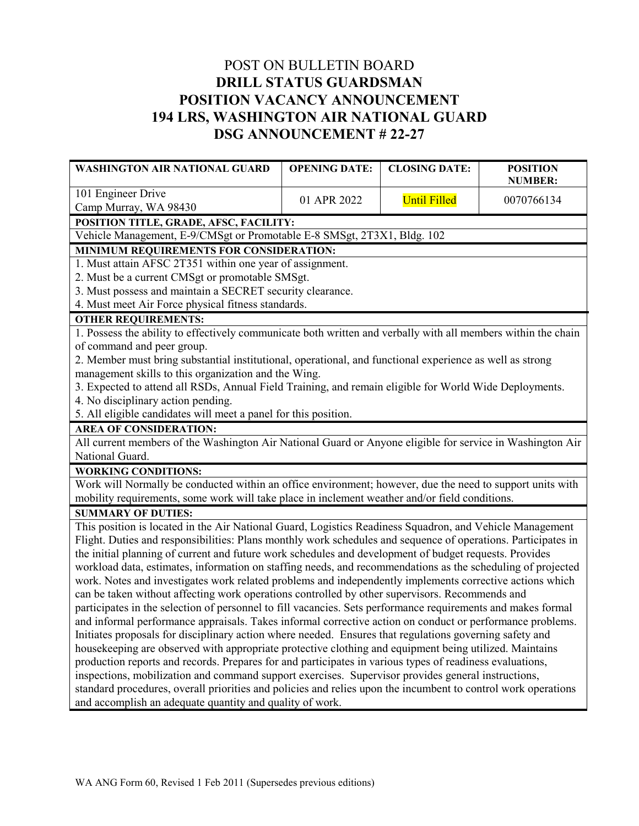## POST ON BULLETIN BOARD **DRILL STATUS GUARDSMAN POSITION VACANCY ANNOUNCEMENT 194 LRS, WASHINGTON AIR NATIONAL GUARD DSG ANNOUNCEMENT # 22-27**

| <b>WASHINGTON AIR NATIONAL GUARD</b>                                                                                                    | <b>OPENING DATE:</b> | <b>CLOSING DATE:</b> | <b>POSITION</b><br><b>NUMBER:</b> |  |
|-----------------------------------------------------------------------------------------------------------------------------------------|----------------------|----------------------|-----------------------------------|--|
| 101 Engineer Drive                                                                                                                      | 01 APR 2022          | <b>Until Filled</b>  | 0070766134                        |  |
| Camp Murray, WA 98430                                                                                                                   |                      |                      |                                   |  |
| POSITION TITLE, GRADE, AFSC, FACILITY:                                                                                                  |                      |                      |                                   |  |
| Vehicle Management, E-9/CMSgt or Promotable E-8 SMSgt, 2T3X1, Bldg. 102                                                                 |                      |                      |                                   |  |
| MINIMUM REQUIREMENTS FOR CONSIDERATION:                                                                                                 |                      |                      |                                   |  |
| 1. Must attain AFSC 2T351 within one year of assignment.                                                                                |                      |                      |                                   |  |
| 2. Must be a current CMSgt or promotable SMSgt.                                                                                         |                      |                      |                                   |  |
| 3. Must possess and maintain a SECRET security clearance.                                                                               |                      |                      |                                   |  |
| 4. Must meet Air Force physical fitness standards.                                                                                      |                      |                      |                                   |  |
| <b>OTHER REQUIREMENTS:</b>                                                                                                              |                      |                      |                                   |  |
| 1. Possess the ability to effectively communicate both written and verbally with all members within the chain                           |                      |                      |                                   |  |
| of command and peer group.                                                                                                              |                      |                      |                                   |  |
| 2. Member must bring substantial institutional, operational, and functional experience as well as strong                                |                      |                      |                                   |  |
| management skills to this organization and the Wing.                                                                                    |                      |                      |                                   |  |
| 3. Expected to attend all RSDs, Annual Field Training, and remain eligible for World Wide Deployments.                                  |                      |                      |                                   |  |
| 4. No disciplinary action pending.                                                                                                      |                      |                      |                                   |  |
| 5. All eligible candidates will meet a panel for this position.                                                                         |                      |                      |                                   |  |
| <b>AREA OF CONSIDERATION:</b>                                                                                                           |                      |                      |                                   |  |
| All current members of the Washington Air National Guard or Anyone eligible for service in Washington Air<br>National Guard.            |                      |                      |                                   |  |
|                                                                                                                                         |                      |                      |                                   |  |
| <b>WORKING CONDITIONS:</b><br>Work will Normally be conducted within an office environment; however, due the need to support units with |                      |                      |                                   |  |
| mobility requirements, some work will take place in inclement weather and/or field conditions.                                          |                      |                      |                                   |  |
| <b>SUMMARY OF DUTIES:</b>                                                                                                               |                      |                      |                                   |  |
| This position is located in the Air National Guard, Logistics Readiness Squadron, and Vehicle Management                                |                      |                      |                                   |  |
| Flight. Duties and responsibilities: Plans monthly work schedules and sequence of operations. Participates in                           |                      |                      |                                   |  |
| the initial planning of current and future work schedules and development of budget requests. Provides                                  |                      |                      |                                   |  |
| workload data, estimates, information on staffing needs, and recommendations as the scheduling of projected                             |                      |                      |                                   |  |
| work. Notes and investigates work related problems and independently implements corrective actions which                                |                      |                      |                                   |  |
| can be taken without affecting work operations controlled by other supervisors. Recommends and                                          |                      |                      |                                   |  |
| participates in the selection of personnel to fill vacancies. Sets performance requirements and makes formal                            |                      |                      |                                   |  |
| and informal performance appraisals. Takes informal corrective action on conduct or performance problems.                               |                      |                      |                                   |  |
| Initiates proposals for disciplinary action where needed. Ensures that regulations governing safety and                                 |                      |                      |                                   |  |
| housekeeping are observed with appropriate protective clothing and equipment being utilized. Maintains                                  |                      |                      |                                   |  |
| production reports and records. Prepares for and participates in various types of readiness evaluations,                                |                      |                      |                                   |  |
| inspections, mobilization and command support exercises. Supervisor provides general instructions,                                      |                      |                      |                                   |  |
| standard procedures, overall priorities and policies and relies upon the incumbent to control work operations                           |                      |                      |                                   |  |
| and accomplish an adequate quantity and quality of work.                                                                                |                      |                      |                                   |  |